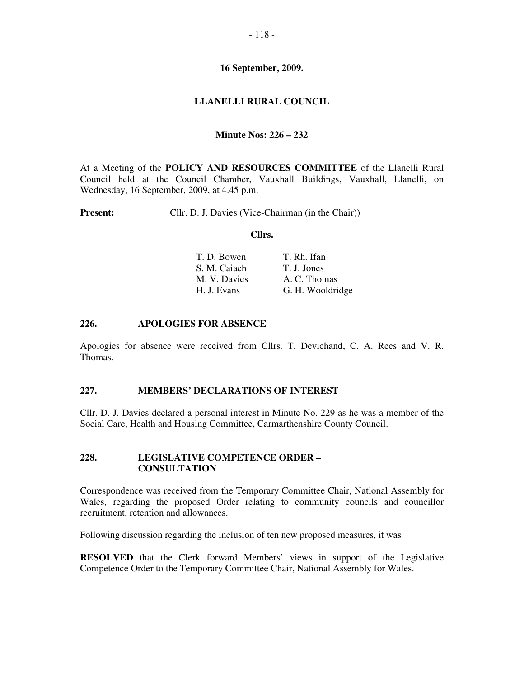# **16 September, 2009.**

# **LLANELLI RURAL COUNCIL**

### **Minute Nos: 226 – 232**

At a Meeting of the **POLICY AND RESOURCES COMMITTEE** of the Llanelli Rural Council held at the Council Chamber, Vauxhall Buildings, Vauxhall, Llanelli, on Wednesday, 16 September, 2009, at 4.45 p.m.

**Present:** Cllr. D. J. Davies (Vice-Chairman (in the Chair))

#### **Cllrs.**

| T. D. Bowen  | T. Rh. Ifan      |
|--------------|------------------|
| S. M. Caiach | T. J. Jones      |
| M. V. Davies | A. C. Thomas     |
| H. J. Evans  | G. H. Wooldridge |

## **226. APOLOGIES FOR ABSENCE**

Apologies for absence were received from Cllrs. T. Devichand, C. A. Rees and V. R. Thomas.

### **227. MEMBERS' DECLARATIONS OF INTEREST**

Cllr. D. J. Davies declared a personal interest in Minute No. 229 as he was a member of the Social Care, Health and Housing Committee, Carmarthenshire County Council.

### **228. LEGISLATIVE COMPETENCE ORDER – CONSULTATION**

Correspondence was received from the Temporary Committee Chair, National Assembly for Wales, regarding the proposed Order relating to community councils and councillor recruitment, retention and allowances.

Following discussion regarding the inclusion of ten new proposed measures, it was

**RESOLVED** that the Clerk forward Members' views in support of the Legislative Competence Order to the Temporary Committee Chair, National Assembly for Wales.